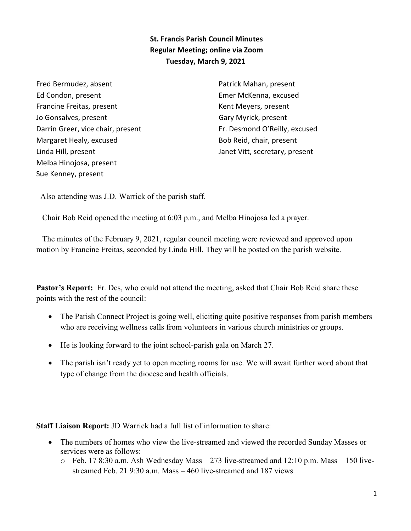**St. Francis Parish Council Minutes Regular Meeting; online via Zoom Tuesday, March 9, 2021** 

Fred Bermudez, absent Ed Condon, present Francine Freitas, present Jo Gonsalves, present Darrin Greer, vice chair, present Margaret Healy, excused Linda Hill, present Melba Hinojosa, present Sue Kenney, present

Patrick Mahan, present Emer McKenna, excused Kent Meyers, present Gary Myrick, present Fr. Desmond O'Reilly, excused Bob Reid, chair, present Janet Vitt, secretary, present

Also attending was J.D. Warrick of the parish staff.

Chair Bob Reid opened the meeting at 6:03 p.m., and Melba Hinojosa led a prayer.

 The minutes of the February 9, 2021, regular council meeting were reviewed and approved upon motion by Francine Freitas, seconded by Linda Hill. They will be posted on the parish website.

**Pastor's Report:** Fr. Des, who could not attend the meeting, asked that Chair Bob Reid share these points with the rest of the council:

- The Parish Connect Project is going well, eliciting quite positive responses from parish members who are receiving wellness calls from volunteers in various church ministries or groups.
- He is looking forward to the joint school-parish gala on March 27.
- The parish isn't ready yet to open meeting rooms for use. We will await further word about that type of change from the diocese and health officials.

**Staff Liaison Report:** JD Warrick had a full list of information to share:

- · The numbers of homes who view the live-streamed and viewed the recorded Sunday Masses or services were as follows:
	- o Feb. 17 8:30 a.m. Ash Wednesday Mass 273 live-streamed and 12:10 p.m. Mass 150 livestreamed Feb. 21 9:30 a.m. Mass – 460 live-streamed and 187 views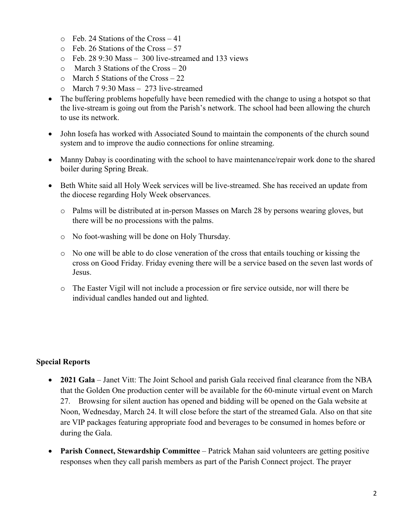- $\circ$  Feb. 24 Stations of the Cross 41
- o Feb. 26 Stations of the Cross 57
- o Feb. 28 9:30 Mass 300 live-streamed and 133 views
- $\circ$  March 3 Stations of the Cross 20
- o March 5 Stations of the Cross 22
- o March 7 9:30 Mass 273 live-streamed
- The buffering problems hopefully have been remedied with the change to using a hotspot so that the live-stream is going out from the Parish's network. The school had been allowing the church to use its network.
- John Iosefa has worked with Associated Sound to maintain the components of the church sound system and to improve the audio connections for online streaming.
- Manny Dabay is coordinating with the school to have maintenance/repair work done to the shared boiler during Spring Break.
- Beth White said all Holy Week services will be live-streamed. She has received an update from the diocese regarding Holy Week observances.
	- o Palms will be distributed at in-person Masses on March 28 by persons wearing gloves, but there will be no processions with the palms.
	- o No foot-washing will be done on Holy Thursday.
	- $\circ$  No one will be able to do close veneration of the cross that entails touching or kissing the cross on Good Friday. Friday evening there will be a service based on the seven last words of Jesus.
	- o The Easter Vigil will not include a procession or fire service outside, nor will there be individual candles handed out and lighted.

## **Special Reports**

- · **2021 Gala** Janet Vitt: The Joint School and parish Gala received final clearance from the NBA that the Golden One production center will be available for the 60-minute virtual event on March 27. Browsing for silent auction has opened and bidding will be opened on the Gala website at Noon, Wednesday, March 24. It will close before the start of the streamed Gala. Also on that site are VIP packages featuring appropriate food and beverages to be consumed in homes before or during the Gala.
- · **Parish Connect, Stewardship Committee** Patrick Mahan said volunteers are getting positive responses when they call parish members as part of the Parish Connect project. The prayer